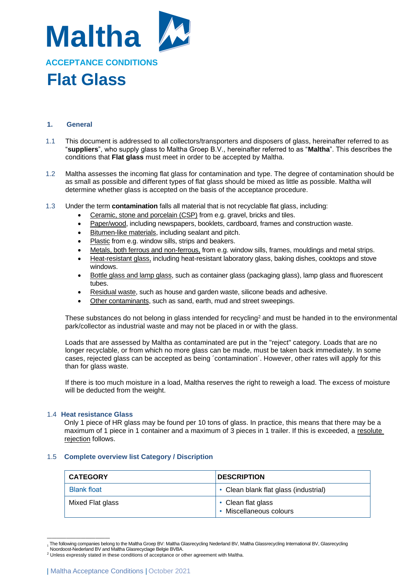

### **1. General**

- 1.1 This document is addressed to all collectors/transporters and disposers of glass, hereinafter referred to as "**suppliers**", who supply glass to Maltha Groep B.V., hereinafter referred to as "**Maltha**". This describes the conditions that **Flat glass** must meet in order to be accepted by Maltha.
- 1.2 Maltha assesses the incoming flat glass for contamination and type. The degree of contamination should be as small as possible and different types of flat glass should be mixed as little as possible. Maltha will determine whether glass is accepted on the basis of the acceptance procedure.
- 1.3 Under the term **contamination** falls all material that is not recyclable flat glass, including:
	- Ceramic, stone and porcelain (CSP) from e.g. gravel, bricks and tiles.
	- Paper/wood, including newspapers, booklets, cardboard, frames and construction waste.
	- Bitumen-like materials, including sealant and pitch.
	- Plastic from e.g. window sills, strips and beakers.
	- Metals, both ferrous and non-ferrous, from e.g. window sills, frames, mouldings and metal strips.
	- Heat-resistant glass, including heat-resistant laboratory glass, baking dishes, cooktops and stove windows.
	- Bottle glass and lamp glass, such as container glass (packaging glass), lamp glass and fluorescent tubes.
	- Residual waste, such as house and garden waste, silicone beads and adhesive.
	- Other contaminants, such as sand, earth, mud and street sweepings.

These substances do not belong in glass intended for recycling<sup>2</sup> and must be handed in to the environmental park/collector as industrial waste and may not be placed in or with the glass.

Loads that are assessed by Maltha as contaminated are put in the "reject" category. Loads that are no longer recyclable, or from which no more glass can be made, must be taken back immediately. In some cases, rejected glass can be accepted as being ´contamination´. However, other rates will apply for this than for glass waste.

If there is too much moisture in a load, Maltha reserves the right to reweigh a load. The excess of moisture will be deducted from the weight.

#### 1.4 **Heat resistance Glass**

Only 1 piece of HR glass may be found per 10 tons of glass. In practice, this means that there may be a maximum of 1 piece in 1 container and a maximum of 3 pieces in 1 trailer. If this is exceeded, a resolute rejection follows.

#### 1.5 **Complete overview list Category / Discription**

| <b>CATEGORY</b>    | <b>DESCRIPTION</b>                            |
|--------------------|-----------------------------------------------|
| <b>Blank float</b> | • Clean blank flat glass (industrial)         |
| Mixed Flat glass   | • Clean flat glass<br>• Miscellaneous colours |

<sup>—————————————</sup> <sup>1</sup> The following companies belong to the Maltha Groep BV: Maltha Glasrecycling Nederland BV, Maltha Glassrecycling International BV, Glasrecycling

Noordoost-Nederland BV and Maltha Glasrecyclage Belgie BVBA.

<sup>2</sup> Unless expressly stated in these conditions of acceptance or other agreement with Maltha.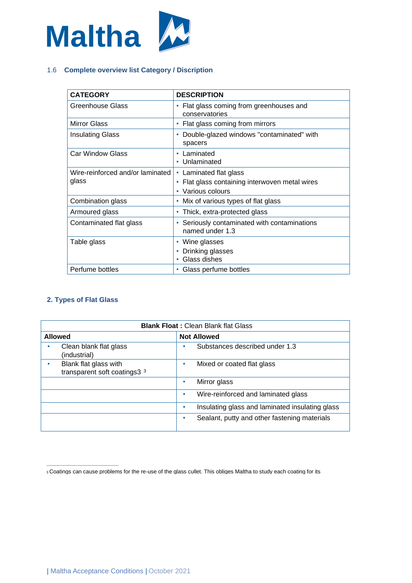

# 1.6 **Complete overview list Category / Discription**

| <b>CATEGORY</b>                           | <b>DESCRIPTION</b>                                                                        |
|-------------------------------------------|-------------------------------------------------------------------------------------------|
| Greenhouse Glass                          | Flat glass coming from greenhouses and<br>conservatories                                  |
| <b>Mirror Glass</b>                       | Flat glass coming from mirrors                                                            |
| Insulating Glass                          | Double-glazed windows "contaminated" with<br>۰<br>spacers                                 |
| Car Window Glass                          | Laminated<br>Unlaminated                                                                  |
| Wire-reinforced and/or laminated<br>glass | • Laminated flat glass<br>Flat glass containing interwoven metal wires<br>Various colours |
| Combination glass                         | Mix of various types of flat glass<br>۰                                                   |
| Armoured glass                            | Thick, extra-protected glass                                                              |
| Contaminated flat glass                   | Seriously contaminated with contaminations<br>named under 1.3                             |
| Table glass                               | Wine glasses<br>Drinking glasses<br>Glass dishes                                          |
| Perfume bottles                           | Glass perfume bottles                                                                     |

## **2. Types of Flat Glass**

| <b>Blank Float: Clean Blank flat Glass</b>                       |                                                      |  |
|------------------------------------------------------------------|------------------------------------------------------|--|
| <b>Allowed</b>                                                   | <b>Not Allowed</b>                                   |  |
| Clean blank flat glass<br>(industrial)                           | Substances described under 1.3                       |  |
| Blank flat glass with<br>transparent soft coatings3 <sup>3</sup> | Mixed or coated flat glass<br>٠                      |  |
|                                                                  | Mirror glass<br>٠                                    |  |
|                                                                  | Wire-reinforced and laminated glass<br>٠             |  |
|                                                                  | Insulating glass and laminated insulating glass<br>٠ |  |
|                                                                  | Sealant, putty and other fastening materials<br>٠    |  |

<sup>—————————————</sup> <sup>3</sup>Coatings can cause problems for the re-use of the glass cullet. This obliges Maltha to study each coating for its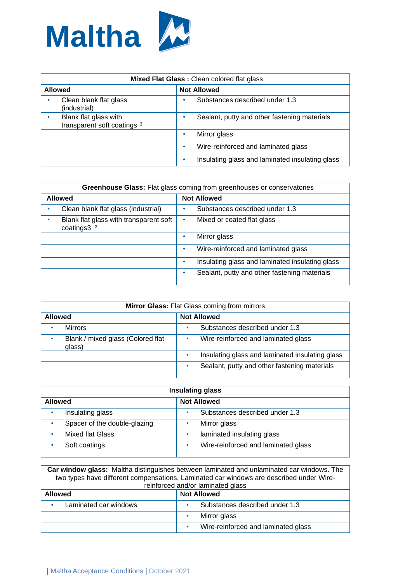

| Mixed Flat Glass: Clean colored flat glass |                                                      |   |                                                 |
|--------------------------------------------|------------------------------------------------------|---|-------------------------------------------------|
| <b>Not Allowed</b><br><b>Allowed</b>       |                                                      |   |                                                 |
|                                            | Clean blank flat glass<br>(industrial)               | ٠ | Substances described under 1.3                  |
|                                            | Blank flat glass with<br>transparent soft coatings 3 | ٠ | Sealant, putty and other fastening materials    |
|                                            |                                                      | ٠ | Mirror glass                                    |
|                                            |                                                      | ٠ | Wire-reinforced and laminated glass             |
|                                            |                                                      | ٠ | Insulating glass and laminated insulating glass |

| <b>Greenhouse Glass:</b> Flat glass coming from greenhouses or conservatories |                                                      |  |
|-------------------------------------------------------------------------------|------------------------------------------------------|--|
| <b>Allowed</b>                                                                | <b>Not Allowed</b>                                   |  |
| Clean blank flat glass (industrial)                                           | Substances described under 1.3                       |  |
| Blank flat glass with transparent soft<br>coatings $33$                       | Mixed or coated flat glass                           |  |
|                                                                               | Mirror glass<br>$\bullet$                            |  |
|                                                                               | Wire-reinforced and laminated glass<br>$\bullet$     |  |
|                                                                               | Insulating glass and laminated insulating glass<br>۰ |  |
|                                                                               | Sealant, putty and other fastening materials<br>٠    |  |

| Mirror Glass: Flat Glass coming from mirrors |                                                      |  |
|----------------------------------------------|------------------------------------------------------|--|
| <b>Not Allowed</b><br><b>Allowed</b>         |                                                      |  |
| <b>Mirrors</b><br>٠                          | Substances described under 1.3<br>٠                  |  |
| Blank / mixed glass (Colored flat<br>glass)  | Wire-reinforced and laminated glass<br>٠             |  |
|                                              | Insulating glass and laminated insulating glass<br>۰ |  |
|                                              | Sealant, putty and other fastening materials<br>٠    |  |

| Insulating glass             |                                     |  |
|------------------------------|-------------------------------------|--|
| <b>Allowed</b>               | <b>Not Allowed</b>                  |  |
| Insulating glass             | Substances described under 1.3      |  |
| Spacer of the double-glazing | Mirror glass                        |  |
| <b>Mixed flat Glass</b>      | laminated insulating glass          |  |
| Soft coatings                | Wire-reinforced and laminated glass |  |

**Car window glass:** Maltha distinguishes between laminated and unlaminated car windows. The two types have different compensations. Laminated car windows are described under Wirereinforced and/or laminated glass

| Teimorcea ang/or iaminated glass     |                                     |  |
|--------------------------------------|-------------------------------------|--|
| <b>Not Allowed</b><br><b>Allowed</b> |                                     |  |
| Laminated car windows<br>٠           | Substances described under 1.3      |  |
|                                      | Mirror glass                        |  |
|                                      | Wire-reinforced and laminated glass |  |